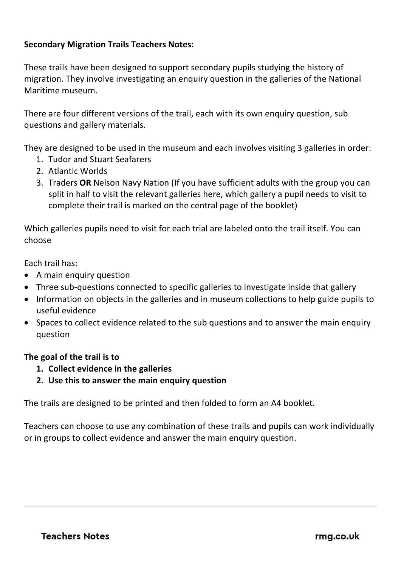## **Secondary Migration Trails Teachers Notes:**

These trails have been designed to support secondary pupils studying the history of migration. They involve investigating an enquiry question in the galleries of the National Maritime museum.

There are four different versions of the trail, each with its own enquiry question, sub questions and gallery materials.

They are designed to be used in the museum and each involves visiting 3 galleries in order:

- 1. Tudor and Stuart Seafarers
- 2. Atlantic Worlds
- 3. Traders **OR** Nelson Navy Nation (If you have sufficient adults with the group you can split in half to visit the relevant galleries here, which gallery a pupil needs to visit to complete their trail is marked on the central page of the booklet)

Which galleries pupils need to visit for each trial are labeled onto the trail itself. You can choose

Each trail has:

- A main enquiry question
- Three sub-questions connected to specific galleries to investigate inside that gallery
- Information on objects in the galleries and in museum collections to help guide pupils to useful evidence
- Spaces to collect evidence related to the sub questions and to answer the main enquiry question

## **The goal of the trail is to**

- **1. Collect evidence in the galleries**
- **2. Use this to answer the main enquiry question**

The trails are designed to be printed and then folded to form an A4 booklet.

Teachers can choose to use any combination of these trails and pupils can work individually or in groups to collect evidence and answer the main enquiry question.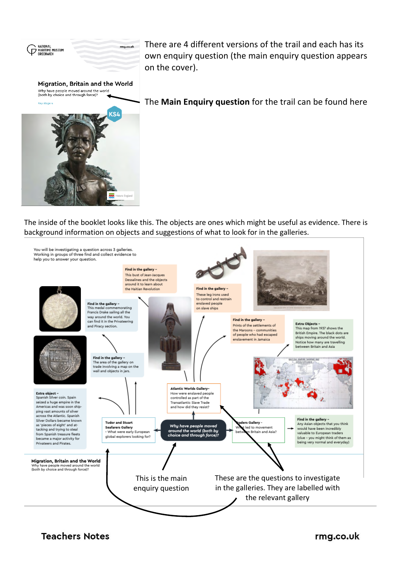

There are 4 different versions of the trail and each has its own enquiry question (the main enquiry question appears on the cover).

The **Main Enquiry question** for the trail can be found here

The inside of the booklet looks like this. The objects are ones which might be useful as evidence. There is background information on objects and suggestions of what to look for in the galleries.